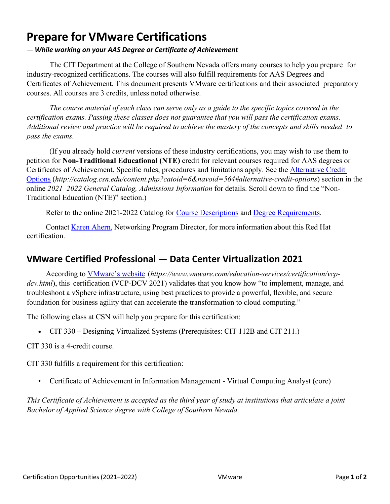## **Prepare for VMware Certifications**

## *— While working on your AAS Degree or Certificate of Achievement*

The CIT Department at the College of Southern Nevada offers many courses to help you prepare for industry-recognized certifications. The courses will also fulfill requirements for AAS Degrees and Certificates of Achievement. This document presents VMware certifications and their associated preparatory courses. All courses are 3 credits, unless noted otherwise.

*The course material of each class can serve only as a guide to the specific topics covered in the certification exams. Passing these classes does not guarantee that you will pass the certification exams.* Additional review and practice will be required to achieve the mastery of the concepts and skills needed to *pass the exams.*

(If you already hold *current* versions of these industry certifications, you may wish to use them to petition for **Non-Traditional Educational (NTE)** credit for relevant courses required for AAS degrees or Certificates of Achievement. Specific rules, procedures and limitations apply. See the [Alternative Credit](http://catalog.csn.edu/content.php?catoid=6&navoid=564#alternative-credit-options)  [Options](http://catalog.csn.edu/content.php?catoid=6&navoid=564#alternative-credit-options) (*http://catalog.csn.edu/content.php?catoid=6&navoid=564#alternative-credit-options*) section in the online *2021–2022 General Catalog, Admissions Information* for details. Scroll down to find the "Non-Traditional Education (NTE)" section.)

Refer to the online 2021-2022 Catalog for [Course Descriptions](http://catalog.csn.edu/content.php?catoid=6&navoid=571) and [Degree Requirements.](http://catalog.csn.edu/content.php?catoid=6&navoid=594)

Contact [Karen Ahern,](https://www.csn.edu/directory/karen-ahern) Networking Program Director, for more information about this Red Hat certification.

## **VMware Certified Professional — Data Center Virtualization 2021**

According to [VMware's](https://www.vmware.com/education-services/certification/vcp-dcv.html) website (*https://www.vmware.com/education-services/certification/vcp*dcv.html), this certification (VCP-DCV 2021) validates that you know how "to implement, manage, and troubleshoot a vSphere infrastructure, using best practices to provide a powerful, flexible, and secure foundation for business agility that can accelerate the transformation to cloud computing."

The following class at CSN will help you prepare for this certification:

• CIT 330 – Designing Virtualized Systems (Prerequisites: CIT 112B and CIT 211.)

CIT 330 is a 4-credit course.

CIT 330 fulfills a requirement for this certification:

• Certificate of Achievement in Information Management - Virtual Computing Analyst (core)

This Certificate of Achievement is accepted as the third year of study at institutions that articulate a joint *Bachelor of Applied Science degree with College of Southern Nevada.*